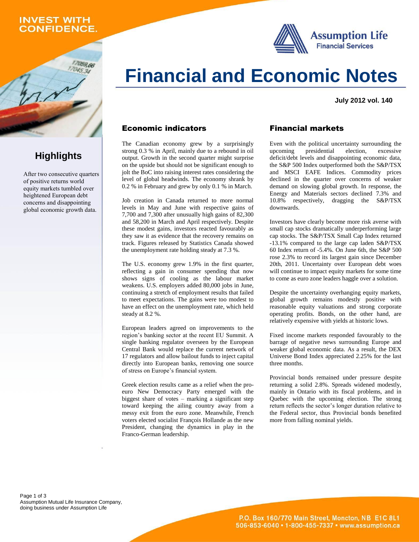### **INVEST WITH CONFIDENCE.**

059.66



# **Financial and Economic Notes**

**July 2012 vol. 140**

#### Economic indicators

The Canadian economy grew by a surprisingly strong 0.3 % in April, mainly due to a rebound in oil output. Growth in the second quarter might surprise on the upside but should not be significant enough to jolt the BoC into raising interest rates considering the level of global headwinds. The economy shrank by 0.2 % in February and grew by only 0.1 % in March.

Job creation in Canada returned to more normal levels in May and June with respective gains of 7,700 and 7,300 after unusually high gains of 82,300 and 58,200 in March and April respectively. Despite these modest gains, investors reacted favourably as they saw it as evidence that the recovery remains on track. Figures released by Statistics Canada showed the unemployment rate holding steady at 7.3 %.

The U.S. economy grew 1.9% in the first quarter, reflecting a gain in consumer spending that now shows signs of cooling as the labour market weakens. U.S. employers added 80,000 jobs in June, continuing a stretch of employment results that failed to meet expectations. The gains were too modest to have an effect on the unemployment rate, which held steady at 8.2 %.

European leaders agreed on improvements to the region's banking sector at the recent EU Summit. A single banking regulator overseen by the European Central Bank would replace the current network of 17 regulators and allow bailout funds to inject capital directly into European banks, removing one source of stress on Europe's financial system.

Greek election results came as a relief when the proeuro New Democracy Party emerged with the biggest share of votes – marking a significant step toward keeping the ailing country away from a messy exit from the euro zone. Meanwhile, French voters elected socialist François Hollande as the new President, changing the dynamics in play in the Franco-German leadership.

#### Financial markets

Even with the political uncertainty surrounding the upcoming presidential election, excessive deficit/debt levels and disappointing economic data, the S&P 500 Index outperformed both the S&P/TSX and MSCI EAFE Indices. Commodity prices declined in the quarter over concerns of weaker demand on slowing global growth. In response, the Energy and Materials sectors declined 7.3% and 10.8% respectively, dragging the S&P/TSX downwards.

Investors have clearly become more risk averse with small cap stocks dramatically underperforming large cap stocks. The S&P/TSX Small Cap Index returned -13.1% compared to the large cap laden S&P/TSX 60 Index return of -5.4%. On June 6th, the S&P 500 rose 2.3% to record its largest gain since December 20th, 2011. Uncertainty over European debt woes will continue to impact equity markets for some time to come as euro zone leaders haggle over a solution.

Despite the uncertainty overhanging equity markets, global growth remains modestly positive with reasonable equity valuations and strong corporate operating profits. Bonds, on the other hand, are relatively expensive with yields at historic lows.

Fixed income markets responded favourably to the barrage of negative news surrounding Europe and weaker global economic data. As a result, the DEX Universe Bond Index appreciated 2.25% for the last three months.

Provincial bonds remained under pressure despite returning a solid 2.8%. Spreads widened modestly, mainly in Ontario with its fiscal problems, and in Quebec with the upcoming election. The strong return reflects the sector's longer duration relative to the Federal sector, thus Provincial bonds benefited more from falling nominal yields.

# **Highlights**

After two consecutive quarters of positive returns world equity markets tumbled over heightened European debt concerns and disappointing global economic growth data.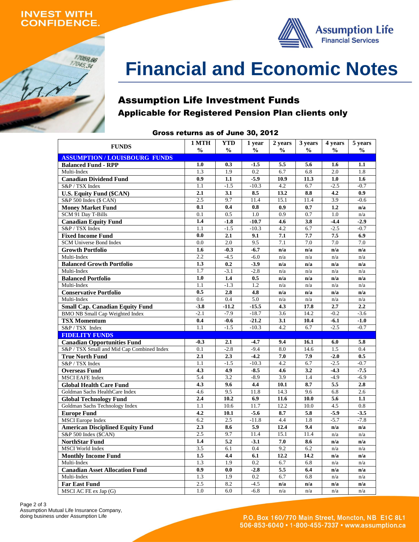### **INVEST WITH ONFIDENCE.**

17059,66  $17045,34$ 



# **Financial and Economic Notes**

## Assumption Life Investment Funds Applicable for Registered Pension Plan clients only

## Gross returns as of June 30, 2012

| <b>FUNDS</b>                               | 1 MTH         | <b>YTD</b>    | 1 year        | 2 years       | 3 years       | 4 years       | 5 years       |
|--------------------------------------------|---------------|---------------|---------------|---------------|---------------|---------------|---------------|
| <b>ASSUMPTION/LOUISBOURG FUNDS</b>         | $\frac{0}{0}$ | $\frac{0}{0}$ | $\frac{0}{0}$ | $\frac{0}{0}$ | $\frac{0}{0}$ | $\frac{0}{0}$ | $\frac{0}{0}$ |
| <b>Balanced Fund - RPP</b>                 | 1.0           | 0.3           | $-1.5$        | 5.5           | 5.6           | 1.6           | 1.1           |
| Multi-Index                                | 1.3           | 1.9           | 0.2           | 6.7           | 6.8           | 2.0           | 1.8           |
| <b>Canadian Dividend Fund</b>              | 0.9           | 1.1           | $-5.9$        | 10.9          | 11.3          | 1.0           | 1.6           |
| S&P / TSX Index                            | 1.1           | $-1.5$        | $-10.3$       | 4.2           | 6.7           | $-2.5$        | $-0.7$        |
| <b>U.S. Equity Fund (\$CAN)</b>            | 2.1           | 3.1           | 8.5           | 13.2          | 8.8           | 4.2           | 0.9           |
| S&P 500 Index (\$ CAN)                     | 2.5           | 9.7           | 11.4          | 15.1          | 11.4          | 3.9           | $-0.6$        |
| <b>Money Market Fund</b>                   | 0.1           | 0.4           | 0.8           | 0.9           | 0.7           | 1.2           | n/a           |
| SCM 91 Day T-Bills                         | 0.1           | 0.5           | 1.0           | 0.9           | 0.7           | 1.0           | n/a           |
| <b>Canadian Equity Fund</b>                | 1.4           | $-1.8$        | $-10.7$       | 4.6           | 3.8           | $-4.4$        | $-2.9$        |
| S&P / TSX Index                            | 1.1           | $-1.5$        | $-10.3$       | 4.2           | 6.7           | $-2.5$        | $-0.7$        |
| <b>Fixed Income Fund</b>                   | 0.0           | 2.1           | 9.1           | 7.1           | 7.7           | 7.5           | 6.9           |
| <b>SCM Universe Bond Index</b>             | 0.0           | 2.0           | 9.5           | 7.1           | 7.0           | 7.0           | 7.0           |
| <b>Growth Portfolio</b>                    | 1.6           | $-0.3$        | $-6.7$        | n/a           | n/a           | n/a           | n/a           |
| Multi-Index                                | 2.2           | $-4.5$        | $-6.0$        | n/a           | n/a           | n/a           | n/a           |
| <b>Balanced Growth Portfolio</b>           | 1.3           | 0.2           | $-3.9$        | n/a           | n/a           | n/a           | n/a           |
| Multi-Index                                | 1.7           | $-3.1$        | $-2.8$        | n/a           | n/a           | n/a           | n/a           |
| <b>Balanced Portfolio</b>                  | 1.0           | 1.4           | 0.5           | n/a           | n/a           | n/a           | n/a           |
| Multi-Index                                | 1.1           | $-1.3$        | 1.2           | n/a           | n/a           | n/a           | n/a           |
| <b>Conservative Portfolio</b>              | 0.5           | 2.8           | 4.8           | n/a           | n/a           | n/a           | n/a           |
| Multi-Index                                | 0.6           | 0.4           | 5.0           | n/a           | n/a           | n/a           | n/a           |
| <b>Small Cap. Canadian Equity Fund</b>     | $-3.8$        | $-11.2$       | $-15.5$       | 4.3           | 17.8          | 2.7           | 2.2           |
| <b>BMO NB Small Cap Weighted Index</b>     | $-2.1$        | $-7.9$        | $-18.7$       | 3.6           | 14.2          | $-0.2$        | $-3.6$        |
| <b>TSX Momentum</b>                        | 0.4           | $-0.6$        | $-21.2$       | 3.1           | 10.4          | $-6.1$        | $-1.0$        |
| S&P / TSX Index                            | 1.1           | $-1.5$        | $-10.3$       | 4.2           | 6.7           | $-2.5$        | $-0.7$        |
| <b>FIDELITY FUNDS</b>                      |               |               |               |               |               |               |               |
| <b>Canadian Opportunities Fund</b>         | $-0.3$        | 2.1           | $-4.7$        | 9.4           | 16.1          | 6.0           | 5.8           |
| S&P / TSX Small and Mid Cap Combined Index | 0.1           | $-2.8$        | $-9.4$        | 8.0           | 14.6          | 1.5           | 0.4           |
| <b>True North Fund</b>                     | 2.1           | 2.3           | $-4.2$        | 7.0           | 7.9           | $-2.0$        | 0.5           |
| S&P / TSX Index                            | 1.1           | $-1.5$        | $-10.3$       | 4.2           | 6.7           | $-2.5$        | $-0.7$        |
| <b>Overseas Fund</b>                       | 4.3           | 4.9           | $-8.5$        | 4.6           | 3.2           | $-4.3$        | $-7.5$        |
| <b>MSCI EAFE Index</b>                     | 5.4           | 3.2           | $-8.9$        | 3.9           | 1.4           | $-4.9$        | $-6.9$        |
| <b>Global Health Care Fund</b>             | 4.3           | 9.6           | 4.4           | 10.1          | 8.7           | 5.5           | 2.8           |
| Goldman Sachs HealthCare Index             | 4.6           | 9.5           | 11.8          | 14.3          | 9.6           | 6.8           | 2.6           |
| <b>Global Technology Fund</b>              | 2.4           | 10.2          | 6.9           | 11.6          | 10.0          | 5.6           | 1.1           |
| Goldman Sachs Technology Index             | 1.1           | 10.6          | 11.7          | 12.2          | 10.0          | 4.5           | 0.8           |
| <b>Europe Fund</b>                         | 4.2           | 10.1          | $-5.6$        | 8.7           | 5.8           | $-5.9$        | $-3.5$        |
| <b>MSCI</b> Europe Index                   | 6.2           | 2.5           | $-11.8$       | 4.4           | 1.8           | $-5.7$        | $-7.8$        |
| <b>American Disciplined Equity Fund</b>    | 2.3           | 8.6           | 5.9           | 12.4          | 9.4           | n/a           | n/a           |
| S&P 500 Index (\$CAN)                      | 2.5           | 9.7           | 11.4          | 15.1          | 11.4          | n/a           | n/a           |
| <b>NorthStar Fund</b>                      | 1.4           | 5.2           | $-3.1$        | 7.0           | 8.6           | n/a           | n/a           |
| <b>MSCI</b> World Index                    | 3.5           | 6.1           | 0.4           | 9.2           | 6.2           | n/a           | n/a           |
| <b>Monthly Income Fund</b>                 | 1.5           | 4.4           | 6.1           | 12.2          | 14.2          | n/a           | n/a           |
| Multi-Index                                | 1.3           | 1.9           | 0.2           | 6.7           | 6.8           | n/a           | n/a           |
| <b>Canadian Asset Allocation Fund</b>      | 0.9           | 0.0           | $-2.8$        | 5.5           | 6.4           | n/a           | n/a           |
| Multi-Index                                | 1.3           | 1.9           | 0.2           | 6.7           | 6.8           | n/a           | n/a           |
| <b>Far East Fund</b>                       | 2.5           | 8.2           | $-4.5$        | n/a           | n/a           | n/a           | n/a           |
| MSCI AC FE ex Jap (G)                      | 1.0           | 6.0           | $-6.8$        | n/a           | n/a           | n/a           | n/a           |